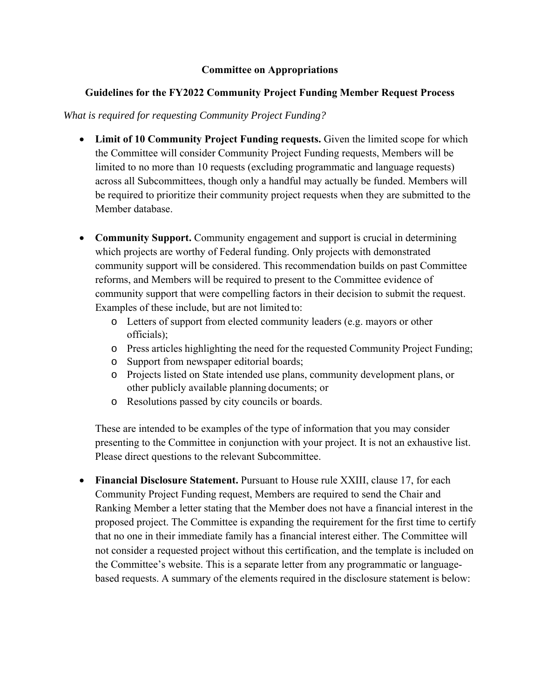#### **Committee on Appropriations**

# **Guidelines for the FY2022 Community Project Funding Member Request Process**

#### *What is required for requesting Community Project Funding?*

- Limit of 10 Community Project Funding requests. Given the limited scope for which the Committee will consider Community Project Funding requests, Members will be limited to no more than 10 requests (excluding programmatic and language requests) across all Subcommittees, though only a handful may actually be funded. Members will be required to prioritize their community project requests when they are submitted to the Member database.
- **Community Support.** Community engagement and support is crucial in determining which projects are worthy of Federal funding. Only projects with demonstrated community support will be considered. This recommendation builds on past Committee reforms, and Members will be required to present to the Committee evidence of community support that were compelling factors in their decision to submit the request. Examples of these include, but are not limited to:
	- o Letters of support from elected community leaders (e.g. mayors or other officials);
	- o Press articles highlighting the need for the requested Community Project Funding;
	- o Support from newspaper editorial boards;
	- o Projects listed on State intended use plans, community development plans, or other publicly available planning documents; or
	- o Resolutions passed by city councils or boards.

These are intended to be examples of the type of information that you may consider presenting to the Committee in conjunction with your project. It is not an exhaustive list. Please direct questions to the relevant Subcommittee.

 **Financial Disclosure Statement.** Pursuant to House rule XXIII, clause 17, for each Community Project Funding request, Members are required to send the Chair and Ranking Member a letter stating that the Member does not have a financial interest in the proposed project. The Committee is expanding the requirement for the first time to certify that no one in their immediate family has a financial interest either. The Committee will not consider a requested project without this certification, and the template is included on the Committee's website. This is a separate letter from any programmatic or languagebased requests. A summary of the elements required in the disclosure statement is below: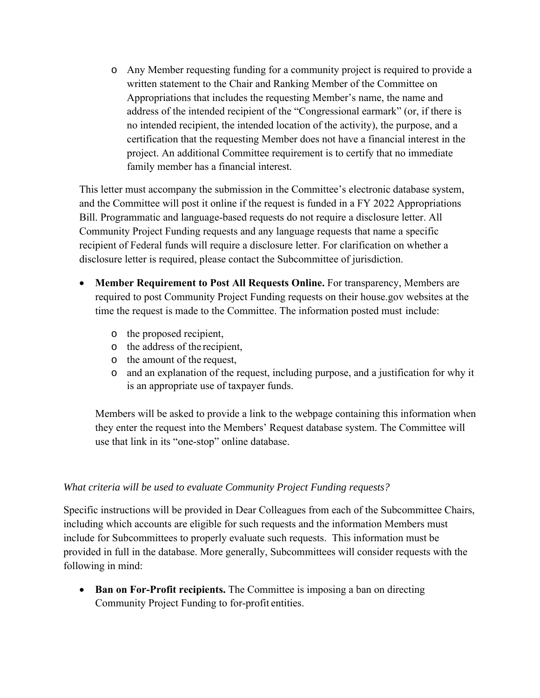o Any Member requesting funding for a community project is required to provide a written statement to the Chair and Ranking Member of the Committee on Appropriations that includes the requesting Member's name, the name and address of the intended recipient of the "Congressional earmark" (or, if there is no intended recipient, the intended location of the activity), the purpose, and a certification that the requesting Member does not have a financial interest in the project. An additional Committee requirement is to certify that no immediate family member has a financial interest.

This letter must accompany the submission in the Committee's electronic database system, and the Committee will post it online if the request is funded in a FY 2022 Appropriations Bill. Programmatic and language-based requests do not require a disclosure letter. All Community Project Funding requests and any language requests that name a specific recipient of Federal funds will require a disclosure letter. For clarification on whether a disclosure letter is required, please contact the Subcommittee of jurisdiction.

- **Member Requirement to Post All Requests Online.** For transparency, Members are required to post Community Project Funding requests on their house.gov websites at the time the request is made to the Committee. The information posted must include:
	- o the proposed recipient,
	- o the address of the recipient,
	- o the amount of the request,
	- o and an explanation of the request, including purpose, and a justification for why it is an appropriate use of taxpayer funds.

Members will be asked to provide a link to the webpage containing this information when they enter the request into the Members' Request database system. The Committee will use that link in its "one-stop" online database.

# *What criteria will be used to evaluate Community Project Funding requests?*

Specific instructions will be provided in Dear Colleagues from each of the Subcommittee Chairs, including which accounts are eligible for such requests and the information Members must include for Subcommittees to properly evaluate such requests. This information must be provided in full in the database. More generally, Subcommittees will consider requests with the following in mind:

• Ban on For-Profit recipients. The Committee is imposing a ban on directing Community Project Funding to for-profit entities.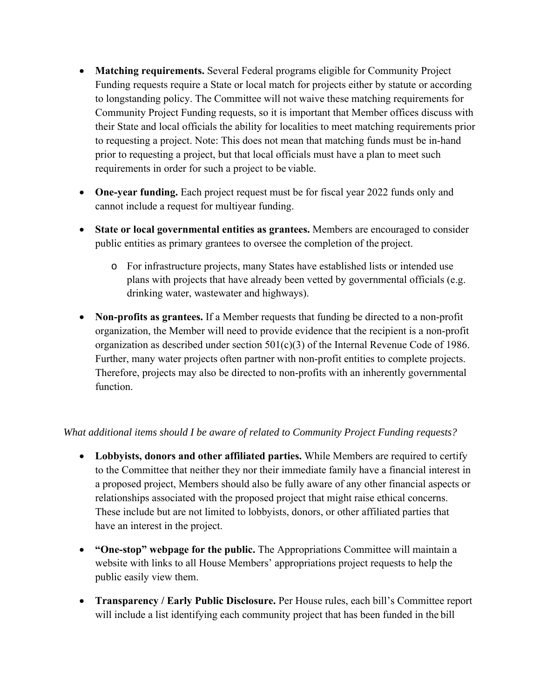- **Matching requirements.** Several Federal programs eligible for Community Project Funding requests require a State or local match for projects either by statute or according to longstanding policy. The Committee will not waive these matching requirements for Community Project Funding requests, so it is important that Member offices discuss with their State and local officials the ability for localities to meet matching requirements prior to requesting a project. Note: This does not mean that matching funds must be in-hand prior to requesting a project, but that local officials must have a plan to meet such requirements in order for such a project to be viable.
- **One-year funding.** Each project request must be for fiscal year 2022 funds only and cannot include a request for multiyear funding.
- **State or local governmental entities as grantees.** Members are encouraged to consider public entities as primary grantees to oversee the completion of the project.
	- o For infrastructure projects, many States have established lists or intended use plans with projects that have already been vetted by governmental officials (e.g. drinking water, wastewater and highways).
- **Non-profits as grantees.** If a Member requests that funding be directed to a non-profit organization, the Member will need to provide evidence that the recipient is a non-profit organization as described under section 501(c)(3) of the Internal Revenue Code of 1986. Further, many water projects often partner with non-profit entities to complete projects. Therefore, projects may also be directed to non-profits with an inherently governmental function.

# *What additional items should I be aware of related to Community Project Funding requests?*

- **Lobbyists, donors and other affiliated parties.** While Members are required to certify to the Committee that neither they nor their immediate family have a financial interest in a proposed project, Members should also be fully aware of any other financial aspects or relationships associated with the proposed project that might raise ethical concerns. These include but are not limited to lobbyists, donors, or other affiliated parties that have an interest in the project.
- **"One-stop" webpage for the public.** The Appropriations Committee will maintain a website with links to all House Members' appropriations project requests to help the public easily view them.
- **Transparency / Early Public Disclosure.** Per House rules, each bill's Committee report will include a list identifying each community project that has been funded in the bill